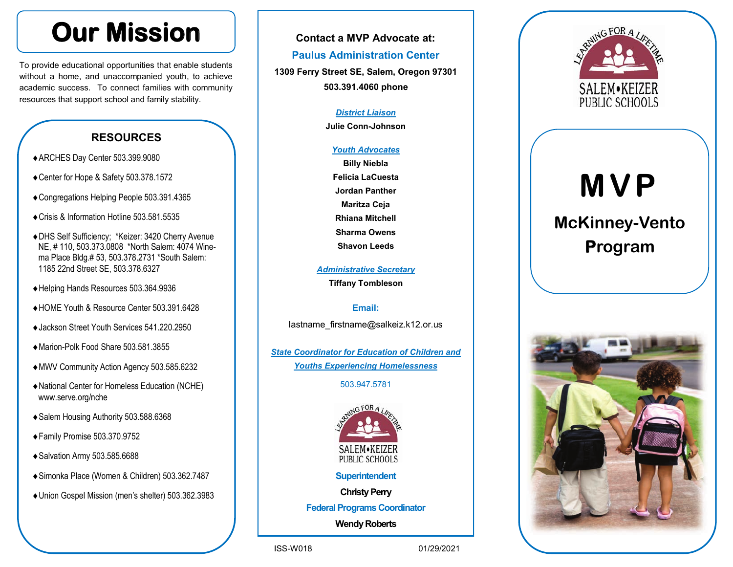## **Our Mission**

To provide educational opportunities that enable students without a home, and unaccompanied youth, to achieve academic success. To connect families with community resources that support school and family stability.

### **RESOURCES**

- ARCHES Day Center 503.399.9080
- Center for Hope & Safety 503.378.1572
- Congregations Helping People 503.391.4365
- Crisis & Information Hotline 503.581.5535
- DHS Self Sufficiency; \*Keizer: 3420 Cherry Avenue NE, # 110, 503.373.0808 \*North Salem: 4074 Winema Place Bldg.# 53, 503.378.2731 \*South Salem: 1185 22nd Street SE, 503.378.6327
- Helping Hands Resources 503.364.9936
- HOME Youth & Resource Center 503.391.6428
- ◆ Jackson Street Youth Services 541.220.2950
- Marion-Polk Food Share 503.581.3855
- MWV Community Action Agency 503.585.6232
- National Center for Homeless Education (NCHE) www.serve.org/nche
- ◆ Salem Housing Authority 503.588.6368
- Family Promise 503.370.9752
- ◆ Salvation Army 503.585.6688
- Simonka Place (Women & Children) 503.362.7487
- Union Gospel Mission (men's shelter) 503.362.3983

#### **Contact a MVP Advocate at:**

#### **Paulus Administration Center**

**1309 Ferry Street SE, Salem, Oregon 97301 503.391.4060 phone**

#### *District Liaison*

**Julie Conn-Johnson**

#### *Youth Advocates*

**Billy Niebla Felicia LaCuesta Jordan Panther Maritza Ceja Rhiana Mitchell Sharma Owens Shavon Leeds**

*Administrative Secretary* **Tiffany Tombleson**

#### **Email:**

lastname\_firstname@salkeiz.k12.or.us

*State Coordinator for Education of Children and Youths Experiencing Homelessness* 

#### 503.947.5781



#### **Superintendent**

#### **Christy Perry**

**Federal Programs Coordinator**

**Wendy Roberts**

ISS-W018 01/29/2021





# **MVP**

## **McKinney-Vento Program**